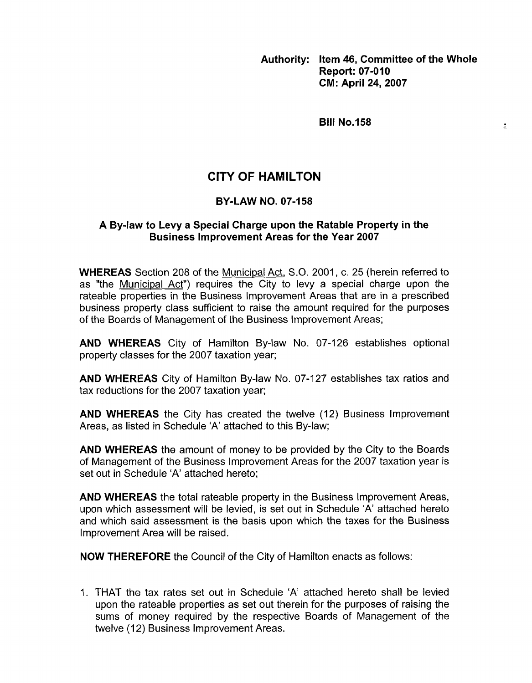**Authority: Item 46, Committee of the Whole Report: 07-010 CM: April 24,2007** 

 $\frac{1}{2}$ 

**Bill No.158** 

# **CITY OF HAMILTON**

## **BY-LAW NO. 07-158**

## A By-law to Leyy a Special Charge upon the Ratable Property in the **Business Improvement Areas for the Year 2007**

**WHEREAS** Section 208 of the Municipal Act, S.O. 2001, c. 25 (herein referred to as "the Municipal Act") requires the City to levy a special charge upon the rateable properties in the Business Improvement Areas that are in a prescribed business property class sufficient to raise the amount required for the purposes of the Boards of Management of the Business Improvement Areas;

**AND WHEREAS** City of Hamilton By-law No. 07-126 establishes optional property classes for the 2007 taxation year;

**AND WHEREAS** City of Hamilton By-law No. 07-127 establishes tax ratios and tax reductions for the 2007 taxation year;

**AND WHEREAS** the City has created the twelve (12) Business Improvement Areas, as listed in Schedule 'A' attached to this By-law;

**AND WHEREAS** the amount of money to be provided by the City to the Boards of Management of the Business Improvement Areas for the 2007 taxation year is set out in Schedule 'A' attached hereto;

**AND WHEREAS** the total rateable property in the Business Improvement Areas, upon which assessment will be levied, is set out in Schedule 'A' attached hereto and which said assessment is the basis upon which the taxes for the Business Improvement Area will be raised.

**NOW THEREFORE** the Council of the City of Hamilton enacts as follows:

1. THAT the tax rates set out in Schedule 'A' attached hereto shall be levied upon the rateable properties as set out therein for the purposes of raising the sums of money required by the respective Boards of Management of the twelve (12) Business Improvement Areas.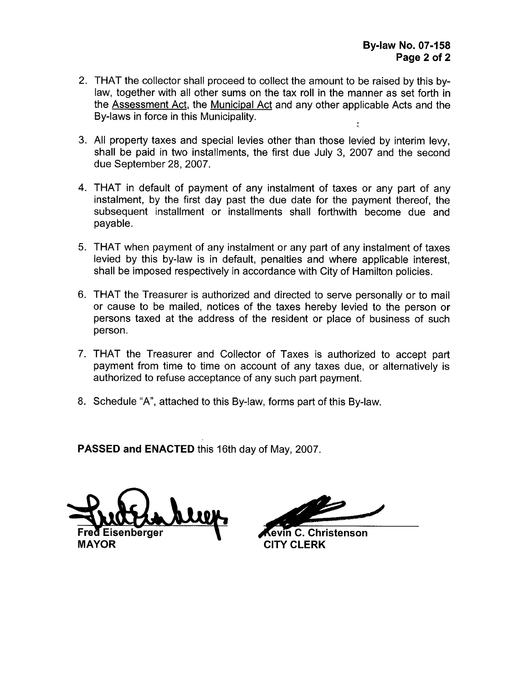- 2. THAT the collector shall proceed to collect the amount to be raised by this bylaw, together with all other sums on the tax roll in the manner as set forth in the Assessment Act, the Municipal Act and any other applicable Acts and the By-laws in force in this Municipality.
- **3.**  All property taxes and special levies other than those levied by interim levy, shall be paid in two installments, the first due July 3, 2007 and the second due September 28,2007.
- **4.**  THAT in default of payment of any instalment of taxes or any part of any instalment, by the first day past the due date for the payment thereof, the subsequent installment or installments shall forthwith become due and payable.
- **5.**  THAT when payment of any instalment or any part of any instalment of taxes levied by this by-law is in default, penalties and where applicable interest, shall be imposed respectively in accordance with City of Hamilton policies.
- 6. THAT the Treasurer is authorized and directed to serve personally or to mail or cause to be mailed, notices of the taxes hereby levied to the person or persons taxed at the address of the resident or place of business of such person.
- 7. THAT the Treasurer and Collector of Taxes is authorized to accept part payment from time to time on account of any taxes due, or alternatively is authorized to refuse acceptance of any such part payment.
- 8. Schedule "A", attached to this By-law, forms part of this By-law.

**PASSED and ENACTED** this 16th day of May, 2007.

**Kevin C. Christenson**<br>MAYOR CITY CLERK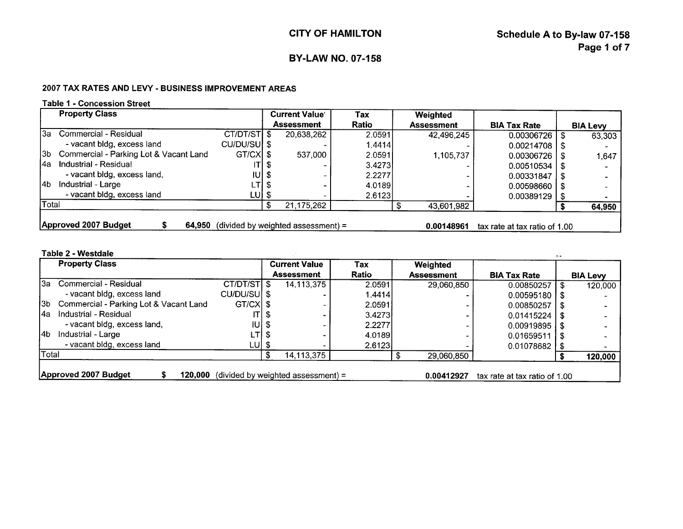#### 2007 TAX RATES AND LEVY - BUSINESS IMPROVEMENT AREAS

### **Table 1** - **Concession Street**

|       | <b>Property Class</b>                  |              | <b>Current Value</b>               | Tax          | Weighted          |                               |                 |
|-------|----------------------------------------|--------------|------------------------------------|--------------|-------------------|-------------------------------|-----------------|
|       |                                        |              | Assessment                         | <b>Ratio</b> | <b>Assessment</b> | <b>BIA Tax Rate</b>           | <b>BIA Levy</b> |
| l3a l | Commercial - Residual                  | CT/DT/STI \$ | 20,638,262                         | 2.0591       | 42,496,245        | $0.00306726$   \$             | 63,303          |
|       | - vacant bldg, excess land             | CU/DU/SU \$  |                                    | 1.4414       |                   | $0.00214708$   \$             |                 |
| l3b l | Commercial - Parking Lot & Vacant Land | GT/CXI \$    | 537.000                            | 2.05911      | 1,105,737         | $0.00306726$   \$             | 1,647           |
| l4a   | Industrial - Residual                  | ITI S        |                                    | 3.4273       |                   | $0.00510534$   \$             |                 |
|       | - vacant bidg, excess land,            | IUI S        |                                    | 2.2277       |                   | $0.00331847$   \$             |                 |
| l4b.  | Industrial - Large                     | LTI \$       |                                    | 4.0189       |                   | $0.00598660$   \$             |                 |
|       | - vacant bldg, excess land             | LUI \$       |                                    | 2.6123       |                   | $0.00389129$   \$             |                 |
| Total |                                        |              | 21,175,262                         |              | 43,601,982        |                               | 64,950          |
|       | Approved 2007 Budget<br>64.950         |              | (divided by weighted assessment) = |              | 0.00148961        | tax rate at tax ratio of 1.00 |                 |

### **Table 2** - **Westdale**

|       | <b>Property Class</b>                  |              |      | <b>Current Value</b><br><b>Assessment</b> | Tax    | Weighted          |                               |      |                 |
|-------|----------------------------------------|--------------|------|-------------------------------------------|--------|-------------------|-------------------------------|------|-----------------|
|       |                                        |              |      |                                           | Ratio  | <b>Assessment</b> | <b>BIA Tax Rate</b>           |      | <b>BIA Levy</b> |
| За    | Commercial - Residual                  | CT/DT/STI \$ |      | 14,113,375                                | 2.0591 | 29,060,850        | 0.00850257                    | - \$ | 120,000         |
|       | - vacant bldg, excess land             | CU/DU/SU \$  |      |                                           | 1.4414 |                   | $0.00595180$ S                |      |                 |
| 13b.  | Commercial - Parking Lot & Vacant Land | $GT/CX$ \$   |      |                                           | 2.0591 |                   | 0.00850257                    |      |                 |
| l4a   | Industrial - Residual                  | ITI          | - 35 |                                           | 3.4273 |                   | $0.01415224$   \$             |      |                 |
|       | - vacant bldg, excess land,            | $IUI$ \$     |      |                                           | 2.2277 |                   | $0.00919895$   \$             |      |                 |
| l4b.  | Industrial - Large                     | LTI \$       |      |                                           | 4.0189 |                   | $0.01659511$   \$             |      |                 |
|       | - vacant bldg, excess land             | LU  \$       |      |                                           | 2.6123 |                   | $0.01078682$   \$             |      |                 |
| Total |                                        |              | £    | 14,113,375                                |        | 29,060,850        |                               |      | 120,000         |
|       |                                        |              |      |                                           |        |                   |                               |      |                 |
|       | Approved 2007 Budget<br>120.000        |              |      | (divided by weighted assessment) =        |        | 0.00412927        | tax rate at tax ratio of 1.00 |      |                 |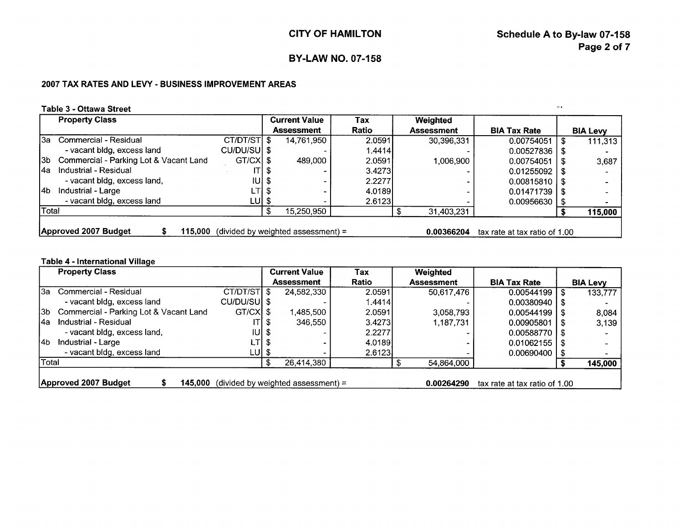!, **<sup>Y</sup>**

## **BY-LAW NO. 07-158**

## **2007 TAX RATES AND LEVY** - **BUSINESS IMPROVEMENT AREAS**

## Table 3 - Ottawa Street

|       | <b>Property Class</b>                  |              |       | <b>Current Value</b>               | Tax    | Weighted          |                               |                 |
|-------|----------------------------------------|--------------|-------|------------------------------------|--------|-------------------|-------------------------------|-----------------|
|       |                                        |              |       | <b>Assessment</b>                  | Ratio  | <b>Assessment</b> | <b>BIA Tax Rate</b>           | <b>BIA Levy</b> |
| 13a - | Commercial - Residual                  | CT/DT/ST \$  |       | 14,761,950                         | 2.0591 | 30,396,331        | 0.00754051                    | 111,313         |
|       | - vacant bldg, excess land             | CU/DU/SUI \$ |       |                                    | 1.4414 |                   | 0.00527836                    |                 |
| l3b-  | Commercial - Parking Lot & Vacant Land | GT/CX \$     |       | 489,000                            | 2.0591 | 1,006,900         | 0.00754051                    | 3,687           |
| l4a   | Industrial - Residual                  |              | ITI S |                                    | 3.4273 |                   | 0.01255092                    |                 |
|       | - vacant bldg, excess land,            | $ U $ \$     |       |                                    | 2.2277 |                   | 0.00815810                    |                 |
| l4b.  | Industrial - Large                     | LTI S        |       |                                    | 4.0189 |                   | 0.01471739                    |                 |
|       | - vacant bldg, excess land             | LU  \$       |       |                                    | 2.6123 |                   | 0.00956630                    |                 |
| Total |                                        |              |       | 15,250,950                         |        | 31,403,231        |                               | 115,000         |
|       |                                        |              |       |                                    |        |                   |                               |                 |
|       | Approved 2007 Budget<br>115.000        |              |       | (divided by weighted assessment) = |        | 0.00366204        | tax rate at tax ratio of 1.00 |                 |

#### **Table 4** - **International Village**

|       | <b>Property Class</b>                  |              |        | <b>Current Value</b>               | Tax     | Weighted          |                               |   |                 |
|-------|----------------------------------------|--------------|--------|------------------------------------|---------|-------------------|-------------------------------|---|-----------------|
|       |                                        |              |        | <b>Assessment</b>                  | Ratio   | <b>Assessment</b> | <b>BIA Tax Rate</b>           |   | <b>BIA Levy</b> |
| l3a l | Commercial - Residual                  | CT/DT/STI \$ |        | 24,582,330                         | 2.0591  | 50,617,476        | 0.00544199                    | Ъ | 133,777         |
|       | - vacant bldg, excess land             | CU/DU/SUI \$ |        |                                    | 1.4414  |                   | 0.00380940                    |   |                 |
| 13b l | Commercial - Parking Lot & Vacant Land | GT/CXI \$    |        | ,485,500                           | 2.0591  | 3,058,793         | $0.00544199$   \$             |   | 8,084           |
| l4a   | Industrial - Residual                  |              | ITI \$ | 346,550                            | 3.4273  | 1,187,731         | 0.00905801                    |   | 3,139           |
|       | - vacant bldg, excess land,            | $ U $ \$     |        |                                    | 2.2277  |                   | $0.00588770$   \$             |   |                 |
| l4b.  | Industrial - Large                     | LTI \$       |        |                                    | 4.01891 |                   | 0.01062155                    |   |                 |
|       | - vacant bidg, excess land             | LU  \$       |        |                                    | 2.6123  |                   | 0.00690400                    |   |                 |
| Total |                                        |              |        | 26,414,380                         |         | 54,864,000        |                               |   | 145,000         |
|       |                                        |              |        |                                    |         |                   |                               |   |                 |
|       | Approved 2007 Budget<br>145.000        |              |        | (divided by weighted assessment) = |         | 0.00264290        | tax rate at tax ratio of 1.00 |   |                 |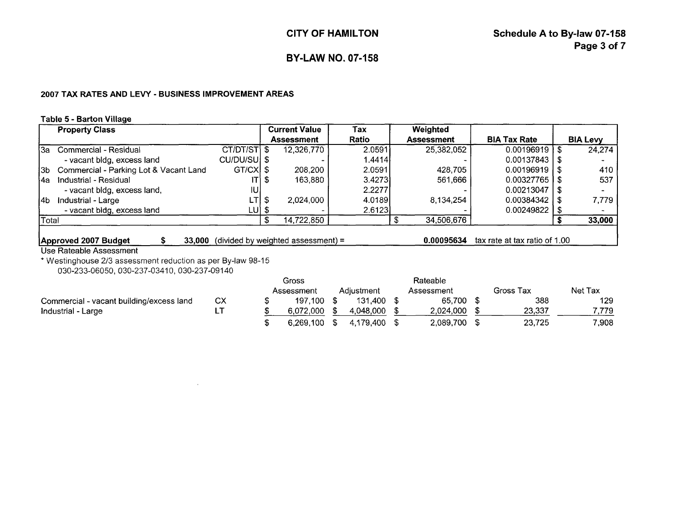#### **2007 TAX RATES AND LEVY** - **BUSINESS IMPROVEMENT AREAS**

#### **Table 5** - **Barton Villaae**

|       | <b>Property Class</b>                  |               | <b>Current Value</b> | Tax     | Weighted          |                     |                 |
|-------|----------------------------------------|---------------|----------------------|---------|-------------------|---------------------|-----------------|
|       |                                        |               | <b>Assessment</b>    | Ratio   | <b>Assessment</b> | <b>BIA Tax Rate</b> | <b>BIA Levy</b> |
| 'За   | Commercial - Residual                  | $CT/DT/ST$ \$ | 12,326,770           | 2.0591  | 25,382,052        | $0.00196919$   \$   | 24.274          |
|       | - vacant bldg, excess land             | CU/DU/SUI \$  |                      | 1.4414  |                   | $0.00137843$   \$   |                 |
| l3b-  | Commercial - Parking Lot & Vacant Land | GT/CX \$      | 208.200              | 2.0591  | 428.705           | $0.00196919$   \$   | 410             |
| l4a   | Industrial - Residual                  | ITI \$        | 163,880              | 3.42731 | 561,666           | $0.00327765$ I \$   | 537             |
|       | - vacant bldg, excess land,            | ЮJ            |                      | 2.22771 |                   | $0.00213047$   \$   |                 |
| l4b.  | Industrial - Large                     | LTI \$        | 2.024.000            | 4.0189  | 8,134,254         | 0.00384342          | 7.779           |
|       | - vacant bldg, excess land             | LU  \$        |                      | 2.6123  |                   | 0.00249822          |                 |
| Total |                                        |               | 14,722,850           |         | 34,506,676        |                     | 33,000          |
|       |                                        |               |                      |         |                   |                     |                 |

**Approved 2007 Budget** \$ **33,000** (divided by weighted assessment) = **0.00095634** tax rate at tax ratio of 1 .OO

#### Use Rateable Assessment

\* Westinghouse 213 assessment reduction as per By-law 98-1 5 030-233-06050, 030-237-0341 0, 030-237-091 40

|                                          |     | Gross      |            | Rateable     |           |         |
|------------------------------------------|-----|------------|------------|--------------|-----------|---------|
|                                          |     | Assessment | Adiustment | Assessment   | Gross Tax | Net Tax |
| Commercial - vacant building/excess land | CX. | 197.100    | 131.400    | 65.700       | 388       | 129.    |
| Industrial - Large                       |     | 6.072.000  | 4.048.000  | 2.024.000    | 23,337    | 7.779   |
|                                          |     | 6.269.100  | 4.179.400  | 2,089,700 \$ | 23,725    | 7,908   |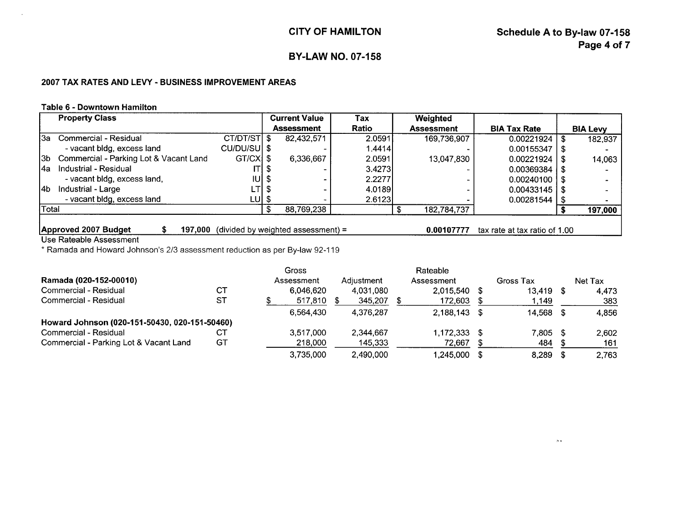$\mu$  is

# **BY-LAW NO. 07-158**

## **2007 TAX RATES AND LEVY** - **BUSINESS IMPROVEMENT AREAS**

### **Table 6 - Downtown Hamilton**

|       | <b>Property Class</b>                  |              |  | <b>Current Value</b>                | Tax    | Weighted          |                               |                 |
|-------|----------------------------------------|--------------|--|-------------------------------------|--------|-------------------|-------------------------------|-----------------|
|       |                                        |              |  | <b>Assessment</b>                   | Ratio  | <b>Assessment</b> | <b>BIA Tax Rate</b>           | <b>BIA Levy</b> |
| l3a   | Commercial - Residual                  | CT/DT/STI \$ |  | 82,432,571                          | 2.0591 | 169,736,907       | 0.00221924                    | 182,937         |
|       | - vacant bldg, excess land             | CU/DU/SU \$  |  |                                     | 1.4414 |                   | 0.00155347                    |                 |
| l3b-  | Commercial - Parking Lot & Vacant Land | $GT/CX$ \$   |  | 6,336,667                           | 2.0591 | 13,047,830        | 0.00221924                    | 14,063          |
| l4a   | Industrial - Residual                  | ITI S        |  |                                     | 3.4273 |                   | 0.00369384                    |                 |
|       | - vacant bldg, excess land,            | $ U $ \$     |  |                                     | 2.2277 |                   | 0.00240100                    |                 |
| l4b.  | Industrial - Large                     | LTI S        |  |                                     | 4.0189 |                   | 0.00433145                    |                 |
|       | - vacant bldg, excess land             | LUI \$       |  |                                     | 2.6123 |                   | 0.00281544                    |                 |
| Total |                                        |              |  | 88,769,238                          |        | 182,784,737       |                               | 197,000         |
|       |                                        |              |  |                                     |        |                   |                               |                 |
|       | Approved 2007 Budget<br>197,000        |              |  | $divided$ by weighted assessment) = |        | 0.00107777        | tax rate at tax ratio of 1.00 |                 |

Use Rateable Assessment

\* Ramada and Howard Johnson's 2/3 assessment reduction as per By-law 92-1 19

|                                               |           | Gross      |            | Rateable     |           |      |         |
|-----------------------------------------------|-----------|------------|------------|--------------|-----------|------|---------|
| Ramada (020-152-00010)                        |           | Assessment | Adjustment | Assessment   | Gross Tax |      | Net Tax |
| Commercial - Residual                         | <b>CT</b> | 6,046,620  | 4.031.080  | 2,015,540 \$ | 13,419    | - \$ | 4.473   |
| Commercial - Residual                         | ST        | 517,810    | 345,207    | 172,603 \$   | 1.149     |      | 383     |
|                                               |           | 6.564.430  | 4.376.287  | 2,188,143 \$ | 14,568 \$ |      | 4,856   |
| Howard Johnson (020-151-50430, 020-151-50460) |           |            |            |              |           |      |         |
| Commercial - Residual                         | CТ        | 3,517,000  | 2,344,667  | 1,172,333 \$ | 7.805     | - \$ | 2.602   |
| Commercial - Parking Lot & Vacant Land        | GТ        | 218,000    | 145,333    | 72,667       | 484       |      | 161     |
|                                               |           | 3,735,000  | 2,490,000  | 1,245,000 \$ | 8,289     |      | 2,763   |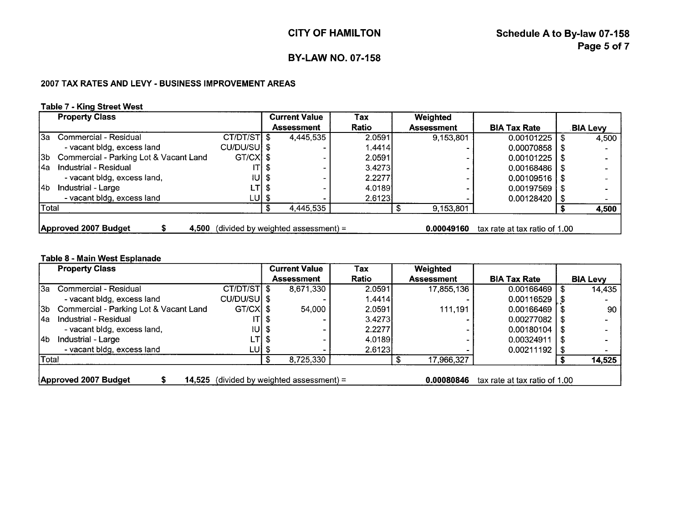## **2007 TAX RATES AND LEVY** - **BUSINESS IMPROVEMENT AREAS**

## **Table 7** - **Kina Street West**

|              | <b>Property Class</b>                  |              |       | <b>Current Value</b>                 | Tax     | Weighted          |                               |                 |
|--------------|----------------------------------------|--------------|-------|--------------------------------------|---------|-------------------|-------------------------------|-----------------|
|              |                                        |              |       | <b>Assessment</b>                    | Ratio   | <b>Assessment</b> | <b>BIA Tax Rate</b>           | <b>BIA Levy</b> |
|              | l3a   Commercial - Residual            | CT/DT/ST \$  |       | 4,445,535                            | 2.0591  | 9,153,801         | 0.00101225                    | 4.500           |
|              | - vacant bldg, excess land             | CU/DU/SUI \$ |       |                                      | 1.4414  |                   | 0.00070858                    |                 |
| 13b l        | Commercial - Parking Lot & Vacant Land | GT/CXI \$    |       |                                      | 2.0591  |                   | 0.00101225                    |                 |
| l4a.         | Industrial - Residual                  |              | ITI S |                                      | 3.42731 |                   | $0.00168486$   \$             |                 |
|              | - vacant bidg, excess land,            | $ U $ \$     |       |                                      | 2.2277  |                   | $0.00109516$ S                |                 |
| l4b.         | Industrial - Large                     | $LT$   \$    |       |                                      | 4.0189  |                   | 0.00197569                    |                 |
|              | - vacant bldg, excess land             | LU  \$       |       |                                      | 2.6123  |                   | $0.00128420$   \$             |                 |
| <b>Total</b> |                                        |              |       | 4,445,535                            |         | 9,153,801         |                               | 4,500           |
|              |                                        |              |       |                                      |         |                   |                               |                 |
|              | Approved 2007 Budget<br>4.500          |              |       | $(divided by weighted assessment) =$ |         | 0.00049160        | tax rate at tax ratio of 1.00 |                 |

### **Table 8** - **Main West Esplanade**

|       | <b>Property Class</b>                  |              | <b>Current Value</b>                 | Tax    | Weighted          |                               |      |                 |
|-------|----------------------------------------|--------------|--------------------------------------|--------|-------------------|-------------------------------|------|-----------------|
|       |                                        |              | Assessment                           | Ratio  | <b>Assessment</b> | <b>BIA Tax Rate</b>           |      | <b>BIA Levy</b> |
| l3a l | Commercial - Residual                  | CT/DT/STI \$ | 8,671,330                            | 2.0591 | 17,855,136        | 0.00166469                    | \$   | 14,435          |
|       | - vacant bldg, excess land             | CU/DU/SU \$  |                                      | 1.4414 |                   | $0.00116529$   \$             |      |                 |
| I3b I | Commercial - Parking Lot & Vacant Land | $GT/CX$ \$   | 54,000                               | 2.0591 | 111.191           | 0.00166469                    |      | 90              |
| l4a   | Industrial - Residual                  | ITI S        |                                      | 3.4273 |                   | 0.00277082                    |      |                 |
|       | - vacant bldg, excess land,            | IUI \$       |                                      | 2.2277 |                   | $0.00180104$   \$             |      |                 |
| l4b.  | Industrial - Large                     | LTI \$       |                                      | 4.0189 |                   | 0.00324911                    | - \$ |                 |
|       | - vacant bldg, excess land             | LU  \$       |                                      | 2.6123 |                   | 0.00211192                    |      |                 |
| Total |                                        |              | 8,725,330                            |        | 17,966,327        |                               |      | 14,525          |
|       |                                        |              |                                      |        |                   |                               |      |                 |
|       | Approved 2007 Budget<br>14.525         |              | (divided by weighted assessment) $=$ |        | 0.00080846        | tax rate at tax ratio of 1.00 |      |                 |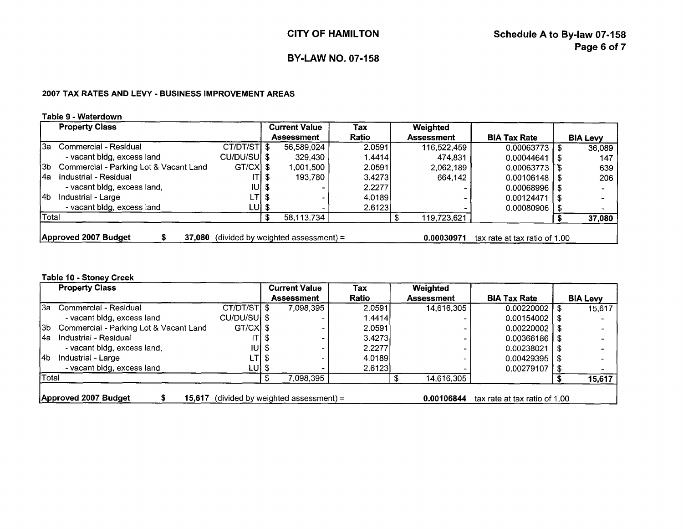#### **2007 TAX RATES AND LEVY** - **BUSINESS IMPROVEMENT AREAS**

#### **Table 9** - **Waterdown**

|              |                                                      |             |                      |            | <b>CITY OF HAMILTON</b>  |                   | Schedule A to By-law 07-158 | Page 6 of 7              |
|--------------|------------------------------------------------------|-------------|----------------------|------------|--------------------------|-------------------|-----------------------------|--------------------------|
|              |                                                      |             |                      |            | <b>BY-LAW NO. 07-158</b> |                   |                             |                          |
|              | 2007 TAX RATES AND LEVY - BUSINESS IMPROVEMENT AREAS |             |                      |            |                          |                   |                             |                          |
|              | Table 9 - Waterdown<br><b>Property Class</b>         |             | <b>Current Value</b> |            | Tax                      | Weighted          |                             |                          |
|              |                                                      |             |                      |            |                          |                   |                             |                          |
|              |                                                      |             | <b>Assessment</b>    |            | Ratio                    | <b>Assessment</b> | <b>BIA Tax Rate</b>         | <b>BIA Levy</b>          |
|              | 3a Commercial - Residual                             | CT/DT/ST \$ |                      | 56,589,024 | 2.0591                   | 116,522,459       | 0.00063773                  | 36,089<br>S              |
|              | - vacant bldg, excess land                           | CU/DU/SU \$ |                      | 329,430    | 1.4414                   | 474,831           | 0.00044641                  | 147<br>- 55              |
|              | Commercial - Parking Lot & Vacant Land               | $GT/CX$ \$  |                      | 1,001,500  | 2.0591                   | 2,062,189         | $0.00063773$   \$           | 639                      |
| I3b.<br>l4a  | Industrial - Residual                                |             |                      | 193,780    | 3.4273                   | 664,142           | 0.00106148                  | 206<br>-56               |
|              | - vacant bldg, excess land,                          | IU          |                      |            | 2.2277                   |                   | 0.00068996                  |                          |
|              | Industrial - Large                                   | LT          | - \$                 |            | 4.0189                   |                   | 0.00124471                  | $\overline{\phantom{a}}$ |
| l4b<br>Total | - vacant bldg, excess land                           | $LU$ \$     |                      |            | 2.6123                   |                   | $0.00080906$   \$           |                          |

### **Table 10** - **Stoney Creek**

|              | <b>Property Class</b>                  |             | <b>Current Value</b>                | Tax          | Weighted          |                               |    |                 |
|--------------|----------------------------------------|-------------|-------------------------------------|--------------|-------------------|-------------------------------|----|-----------------|
|              |                                        |             | <b>Assessment</b>                   | <b>Ratio</b> | <b>Assessment</b> | <b>BIA Tax Rate</b>           |    | <b>BIA Levy</b> |
| l3a l        | Commercial - Residual                  | CT/DT/ST \$ | 7,098,395                           | 2.0591       | 14,616,305        | 0.00220002                    | S  | 15,617          |
|              | - vacant bldg, excess land             | CU/DU/SU \$ |                                     | 1.4414       |                   | 0.00154002                    |    |                 |
| l3b-         | Commercial - Parking Lot & Vacant Land | GT/CXI \$   |                                     | 2.0591       |                   | 0.00220002                    |    |                 |
| l4a          | Industrial - Residual                  | ITI S       |                                     | 3.4273       |                   | 0.00366186                    |    |                 |
|              | - vacant bldg, excess land,            | $IUI$ \$    |                                     | 2.2277       |                   | 0.00238021                    | æ  |                 |
| l4b          | Industrial - Large                     | LTI \$      |                                     | 4.0189       |                   | 0.00429395                    |    |                 |
|              | - vacant bldg, excess land             | LU  \$      |                                     | 2.6123       |                   | 0.00279107                    | -5 |                 |
| <b>Total</b> |                                        |             | 7,098,395                           |              | 14,616,305        |                               |    | 15,617          |
|              | Approved 2007 Budget<br>15.617         |             | $divided$ by weighted assessment) = |              | 0.00106844        | tax rate at tax ratio of 1.00 |    |                 |